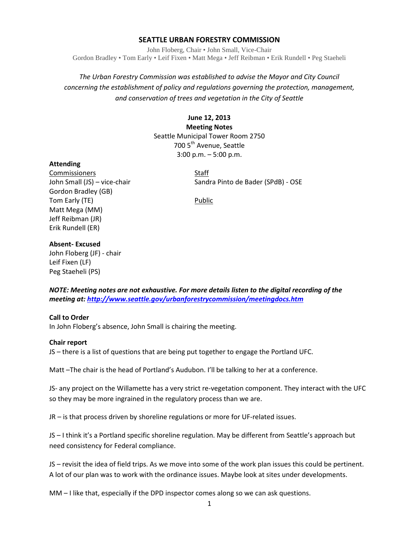# **SEATTLE URBAN FORESTRY COMMISSION**

John Floberg, Chair • John Small, Vice-Chair Gordon Bradley • Tom Early • Leif Fixen • Matt Mega • Jeff Reibman • Erik Rundell • Peg Staeheli

# *The Urban Forestry Commission was established to advise the Mayor and City Council concerning the establishment of policy and regulations governing the protection, management, and conservation of trees and vegetation in the City of Seattle*

# **June 12, 2013 Meeting Notes** Seattle Municipal Tower Room 2750 700 5<sup>th</sup> Avenue, Seattle 3:00 p.m. – 5:00 p.m.

#### **Attending**

Commissioners Staff Gordon Bradley (GB) Tom Early (TE) **Public** Matt Mega (MM) Jeff Reibman (JR) Erik Rundell (ER)

John Small (JS) – vice-chair Sandra Pinto de Bader (SPdB) - OSE

## **Absent- Excused**

John Floberg (JF) - chair Leif Fixen (LF) Peg Staeheli (PS)

*NOTE: Meeting notes are not exhaustive. For more details listen to the digital recording of the meeting at[: http://www.seattle.gov/urbanforestrycommission/meetingdocs.htm](http://www.seattle.gov/urbanforestrycommission/meetingdocs.htm)*

#### **Call to Order**

In John Floberg's absence, John Small is chairing the meeting.

#### **Chair report**

JS – there is a list of questions that are being put together to engage the Portland UFC.

Matt –The chair is the head of Portland's Audubon. I'll be talking to her at a conference.

JS- any project on the Willamette has a very strict re-vegetation component. They interact with the UFC so they may be more ingrained in the regulatory process than we are.

JR – is that process driven by shoreline regulations or more for UF-related issues.

JS – I think it's a Portland specific shoreline regulation. May be different from Seattle's approach but need consistency for Federal compliance.

JS – revisit the idea of field trips. As we move into some of the work plan issues this could be pertinent. A lot of our plan was to work with the ordinance issues. Maybe look at sites under developments.

MM – I like that, especially if the DPD inspector comes along so we can ask questions.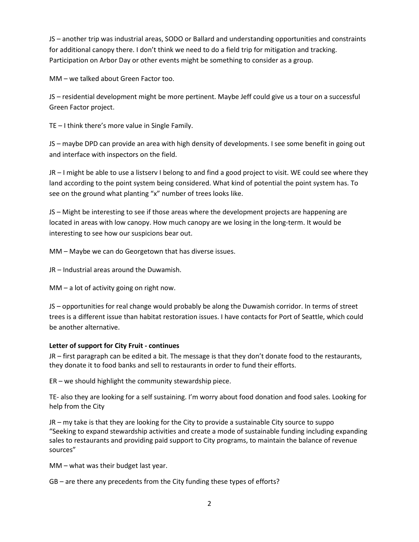JS – another trip was industrial areas, SODO or Ballard and understanding opportunities and constraints for additional canopy there. I don't think we need to do a field trip for mitigation and tracking. Participation on Arbor Day or other events might be something to consider as a group.

MM – we talked about Green Factor too.

JS – residential development might be more pertinent. Maybe Jeff could give us a tour on a successful Green Factor project.

TE – I think there's more value in Single Family.

JS – maybe DPD can provide an area with high density of developments. I see some benefit in going out and interface with inspectors on the field.

JR – I might be able to use a listserv I belong to and find a good project to visit. WE could see where they land according to the point system being considered. What kind of potential the point system has. To see on the ground what planting "x" number of trees looks like.

JS – Might be interesting to see if those areas where the development projects are happening are located in areas with low canopy. How much canopy are we losing in the long-term. It would be interesting to see how our suspicions bear out.

MM – Maybe we can do Georgetown that has diverse issues.

JR – Industrial areas around the Duwamish.

MM – a lot of activity going on right now.

JS – opportunities for real change would probably be along the Duwamish corridor. In terms of street trees is a different issue than habitat restoration issues. I have contacts for Port of Seattle, which could be another alternative.

# **Letter of support for City Fruit - continues**

JR – first paragraph can be edited a bit. The message is that they don't donate food to the restaurants, they donate it to food banks and sell to restaurants in order to fund their efforts.

ER – we should highlight the community stewardship piece.

TE- also they are looking for a self sustaining. I'm worry about food donation and food sales. Looking for help from the City

JR – my take is that they are looking for the City to provide a sustainable City source to suppo "Seeking to expand stewardship activities and create a mode of sustainable funding including expanding sales to restaurants and providing paid support to City programs, to maintain the balance of revenue sources"

MM – what was their budget last year.

GB – are there any precedents from the City funding these types of efforts?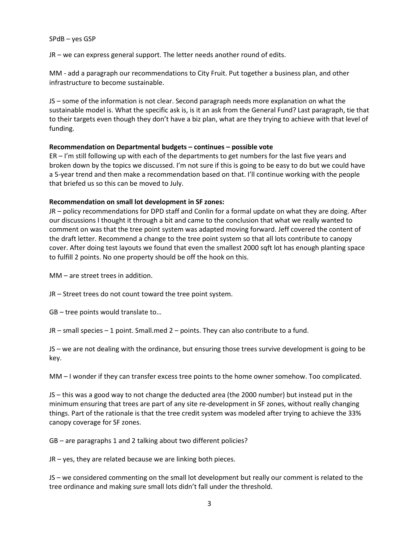#### SPdB – yes GSP

JR – we can express general support. The letter needs another round of edits.

MM - add a paragraph our recommendations to City Fruit. Put together a business plan, and other infrastructure to become sustainable.

JS – some of the information is not clear. Second paragraph needs more explanation on what the sustainable model is. What the specific ask is, is it an ask from the General Fund? Last paragraph, tie that to their targets even though they don't have a biz plan, what are they trying to achieve with that level of funding.

## **Recommendation on Departmental budgets – continues – possible vote**

ER – I'm still following up with each of the departments to get numbers for the last five years and broken down by the topics we discussed. I'm not sure if this is going to be easy to do but we could have a 5-year trend and then make a recommendation based on that. I'll continue working with the people that briefed us so this can be moved to July.

## **Recommendation on small lot development in SF zones:**

JR – policy recommendations for DPD staff and Conlin for a formal update on what they are doing. After our discussions I thought it through a bit and came to the conclusion that what we really wanted to comment on was that the tree point system was adapted moving forward. Jeff covered the content of the draft letter. Recommend a change to the tree point system so that all lots contribute to canopy cover. After doing test layouts we found that even the smallest 2000 sqft lot has enough planting space to fulfill 2 points. No one property should be off the hook on this.

MM – are street trees in addition.

JR – Street trees do not count toward the tree point system.

GB – tree points would translate to…

JR – small species – 1 point. Small.med 2 – points. They can also contribute to a fund.

JS – we are not dealing with the ordinance, but ensuring those trees survive development is going to be key.

MM – I wonder if they can transfer excess tree points to the home owner somehow. Too complicated.

JS – this was a good way to not change the deducted area (the 2000 number) but instead put in the minimum ensuring that trees are part of any site re-development in SF zones, without really changing things. Part of the rationale is that the tree credit system was modeled after trying to achieve the 33% canopy coverage for SF zones.

GB – are paragraphs 1 and 2 talking about two different policies?

JR – yes, they are related because we are linking both pieces.

JS – we considered commenting on the small lot development but really our comment is related to the tree ordinance and making sure small lots didn't fall under the threshold.